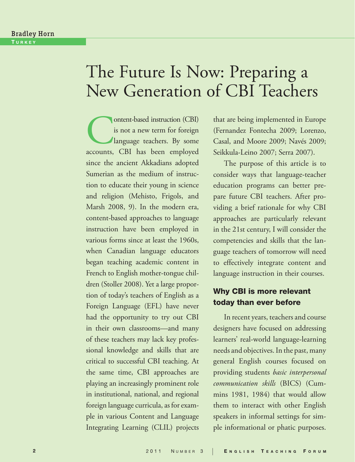### Bradley Horn TURKEY

# The Future Is Now: Preparing a New Generation of CBI Teachers

Ontent-based instruction (CBI)<br>is not a new term for foreign<br>language teachers. By some<br>accounts. CBI has been employed is not a new term for foreign language teachers. By some accounts, CBI has been employed since the ancient Akkadians adopted Sumerian as the medium of instruction to educate their young in science and religion (Mehisto, Frigols, and Marsh 2008, 9). In the modern era, content-based approaches to language instruction have been employed in various forms since at least the 1960s, when Canadian language educators began teaching academic content in French to English mother-tongue children (Stoller 2008). Yet a large proportion of today's teachers of English as a Foreign Language (EFL) have never had the opportunity to try out CBI in their own classrooms—and many of these teachers may lack key professional knowledge and skills that are critical to successful CBI teaching. At the same time, CBI approaches are playing an increasingly prominent role in institutional, national, and regional foreign language curricula, as for example in various Content and Language Integrating Learning (CLIL) projects

that are being implemented in Europe (Fernandez Fontecha 2009; Lorenzo, Casal, and Moore 2009; Navés 2009; Seikkula-Leino 2007; Serra 2007).

The purpose of this article is to consider ways that language-teacher education programs can better prepare future CBI teachers. After providing a brief rationale for why CBI approaches are particularly relevant in the 21st century, I will consider the competencies and skills that the language teachers of tomorrow will need to effectively integrate content and language instruction in their courses.

## **Why CBI is more relevant today than ever before**

In recent years, teachers and course designers have focused on addressing learners' real-world language-learning needs and objectives. In the past, many general English courses focused on providing students *basic interpersonal communication skills* (BICS) (Cummins 1981, 1984) that would allow them to interact with other English speakers in informal settings for simple informational or phatic purposes.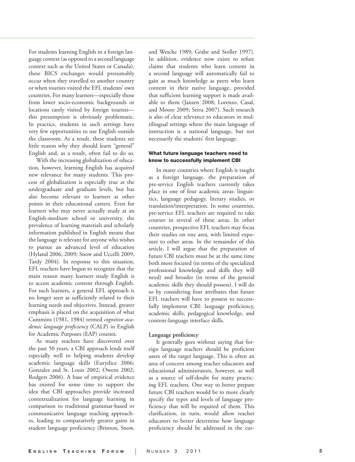For students learning English in a foreign language context (as opposed to a second language context such as the United States or Canada), these BICS exchanges would presumably occur when they travelled to another country or when tourists visited the EFL students' own countries. For many learners—especially those from lower socio-economic backgrounds or locations rarely visited by foreign tourists this presumption is obviously problematic. In practice, students in such settings have very few opportunities to use English outside the classroom. As a result, these students see little reason why they should learn "general" English and, as a result, often fail to do so.

With the increasing globalization of education, however, learning English has acquired new relevance for many students. This process of globalization is especially true at the undergraduate and graduate levels, but has also become relevant to learners at other points in their educational careers. Even for learners who may never actually study at an English-medium school or university, the prevalence of learning materials and scholarly information published in English means that the language is relevant for anyone who wishes to pursue an advanced level of education (Hyland 2006, 2009; Snow and Uccelli 2009; Tardy 2004). In response to this situation, EFL teachers have begun to recognize that the main reason many learners study English is to access academic content through English. For such learners, a general EFL approach is no longer seen as sufficiently related to their learning needs and objectives. Instead, greater emphasis is placed on the acquisition of what Cummins (1981, 1984) termed *cognitive academic language proficiency* (CALP) in English for Academic Purposes (EAP) courses.

As many teachers have discovered over the past 50 years, a CBI approach lends itself especially well to helping students develop academic language skills (Eurydice 2006; Gonzalez and St. Louis 2002; Owens 2002; Rodgers 2006). A base of empirical evidence has existed for some time to support the idea that CBI approaches provide increased contextualization for language learning in comparison to traditional grammar-based or communicative language teaching approaches, leading to comparatively greater gains in student language proficiency (Brinton, Snow,

and Wesche 1989; Grabe and Stoller 1997). In addition, evidence now exists to refute claims that students who learn content in a second language will automatically fail to gain as much knowledge as peers who learn content in their native language, provided that sufficient learning support is made available to them (Janzen 2008; Lorenzo, Casal, and Moore 2009; Serra 2007). Such research is also of clear relevance to educators in multilingual settings where the main language of instruction is a national language, but not necessarily the students' first language.

#### **What future language teachers need to know to successfully implement CBI**

In many countries where English is taught as a foreign language, the preparation of pre-service English teachers currently takes place in one of four academic areas: linguistics, language pedagogy, literary studies, or translation/interpretation. In some countries, pre-service EFL teachers are required to take courses in several of these areas. In other countries, prospective EFL teachers may focus their studies on one area, with limited exposure to other areas. In the remainder of this article, I will argue that the preparation of future CBI teachers must be at the same time both more focused (in terms of the specialized professional knowledge and skills they will need) and broader (in terms of the general academic skills they should possess). I will do so by considering four attributes that future EFL teachers will have to possess to successfully implement CBI: language proficiency, academic skills, pedagogical knowledge, and content-language interface skills.

#### **Language proficiency**

It generally goes without saying that foreign language teachers should be proficient users of the target language. This is often an area of concern among teacher educators and educational administrators, however, as well as a source of self-doubt for many practicing EFL teachers. One way to better prepare future CBI teachers would be to more clearly specify the types and levels of language proficiency that will be required of them. This clarification, in turn, would allow teacher educators to better determine how language proficiency should be addressed in the cur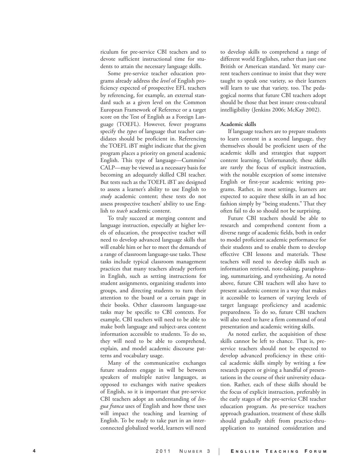riculum for pre-service CBI teachers and to devote sufficient instructional time for students to attain the necessary language skills.

Some pre-service teacher education programs already address the *level* of English proficiency expected of prospective EFL teachers by referencing, for example, an external standard such as a given level on the Common European Framework of Reference or a target score on the Test of English as a Foreign Language (TOEFL). However, fewer programs specify the *types* of language that teacher candidates should be proficient in. Referencing the TOEFL iBT might indicate that the given program places a priority on general academic English. This type of language—Cummins' CALP—may be viewed as a necessary basis for becoming an adequately skilled CBI teacher. But tests such as the TOEFL iBT are designed to assess a learner's ability to use English to *study* academic content; these tests do not assess prospective teachers' ability to use English to *teach* academic content.

To truly succeed at merging content and language instruction, especially at higher levels of education, the prospective teacher will need to develop advanced language skills that will enable him or her to meet the demands of a range of classroom language-use tasks. These tasks include typical classroom management practices that many teachers already perform in English, such as setting instructions for student assignments, organizing students into groups, and directing students to turn their attention to the board or a certain page in their books. Other classroom language-use tasks may be specific to CBI contexts. For example, CBI teachers will need to be able to make both language and subject-area content information accessible to students. To do so, they will need to be able to comprehend, explain, and model academic discourse patterns and vocabulary usage.

Many of the communicative exchanges future students engage in will be between speakers of multiple native languages, as opposed to exchanges with native speakers of English, so it is important that pre-service CBI teachers adopt an understanding of *lingua franca* uses of English and how these uses will impact the teaching and learning of English. To be ready to take part in an interconnected globalized world, learners will need

to develop skills to comprehend a range of different world Englishes, rather than just one British or American standard. Yet many current teachers continue to insist that they were taught to speak one variety, so their learners will learn to use that variety, too. The pedagogical norms that future CBI teachers adopt should be those that best insure cross-cultural intelligibility (Jenkins 2006; McKay 2002).

#### **Academic skills**

If language teachers are to prepare students to learn content in a second language, they themselves should be proficient users of the academic skills and strategies that support content learning. Unfortunately, these skills are rarely the focus of explicit instruction, with the notable exception of some intensive English or first-year academic writing programs. Rather, in most settings, learners are expected to acquire these skills in an ad hoc fashion simply by "being students." That they often fail to do so should not be surprising.

Future CBI teachers should be able to research and comprehend content from a diverse range of academic fields, both in order to model proficient academic performance for their students and to enable them to develop effective CBI lessons and materials. These teachers will need to develop skills such as information retrieval, note-taking, paraphrasing, summarizing, and synthesizing. As noted above, future CBI teachers will also have to present academic content in a way that makes it accessible to learners of varying levels of target language proficiency and academic preparedness. To do so, future CBI teachers will also need to have a firm command of oral presentation and academic writing skills.

As noted earlier, the acquisition of these skills cannot be left to chance. That is, preservice teachers should not be expected to develop advanced proficiency in these critical academic skills simply by writing a few research papers or giving a handful of presentations in the course of their university education. Rather, each of these skills should be the focus of explicit instruction, preferably in the early stages of the pre-service CBI teacher education program. As pre-service teachers approach graduation, treatment of these skills should gradually shift from practice-thruapplication to sustained consideration and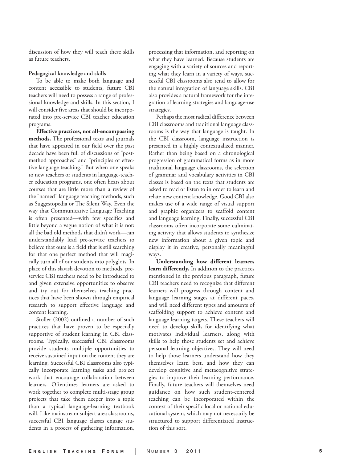discussion of how they will teach these skills as future teachers.

#### **Pedagogical knowledge and skills**

To be able to make both language and content accessible to students, future CBI teachers will need to possess a range of professional knowledge and skills. In this section, I will consider five areas that should be incorporated into pre-service CBI teacher education programs.

**Effective practices, not all-encompassing methods.** The professional texts and journals that have appeared in our field over the past decade have been full of discussions of "postmethod approaches" and "principles of effective language teaching." But when one speaks to new teachers or students in language-teacher education programs, one often hears about courses that are little more than a review of the "named" language teaching methods, such as Suggestopedia or The Silent Way. Even the way that Communicative Language Teaching is often presented—with few specifics and little beyond a vague notion of what it is not: all the bad old methods that didn't work—can understandably lead pre-service teachers to believe that ours is a field that is still searching for that one perfect method that will magically turn all of our students into polyglots. In place of this slavish devotion to methods, preservice CBI teachers need to be introduced to and given extensive opportunities to observe and try out for themselves teaching practices that have been shown through empirical research to support effective language and content learning.

Stoller (2002) outlined a number of such practices that have proven to be especially supportive of student learning in CBI classrooms. Typically, successful CBI classrooms provide students multiple opportunities to receive sustained input on the content they are learning. Successful CBI classrooms also typically incorporate learning tasks and project work that encourage collaboration between learners. Oftentimes learners are asked to work together to complete multi-stage group projects that take them deeper into a topic than a typical language-learning textbook will. Like mainstream subject-area classrooms, successful CBI language classes engage students in a process of gathering information,

processing that information, and reporting on what they have learned. Because students are engaging with a variety of sources and reporting what they learn in a variety of ways, successful CBI classrooms also tend to allow for the natural integration of language skills. CBI also provides a natural framework for the integration of learning strategies and language-use strategies.

Perhaps the most radical difference between CBI classrooms and traditional language classrooms is the way that language is taught. In the CBI classroom, language instruction is presented in a highly contextualized manner. Rather than being based on a chronological progression of grammatical forms as in more traditional language classrooms, the selection of grammar and vocabulary activities in CBI classes is based on the texts that students are asked to read or listen to in order to learn and relate new content knowledge. Good CBI also makes use of a wide range of visual support and graphic organizers to scaffold content and language learning. Finally, successful CBI classrooms often incorporate some culminating activity that allows students to synthesize new information about a given topic and display it in creative, personally meaningful ways.

**Understanding how different learners learn differently.** In addition to the practices mentioned in the previous paragraph, future CBI teachers need to recognize that different learners will progress through content and language learning stages at different paces, and will need different types and amounts of scaffolding support to achieve content and language learning targets. These teachers will need to develop skills for identifying what motivates individual learners, along with skills to help those students set and achieve personal learning objectives. They will need to help those learners understand how they themselves learn best, and how they can develop cognitive and metacognitive strategies to improve their learning performance. Finally, future teachers will themselves need guidance on how such student-centered teaching can be incorporated within the context of their specific local or national educational system, which may not necessarily be structured to support differentiated instruction of this sort.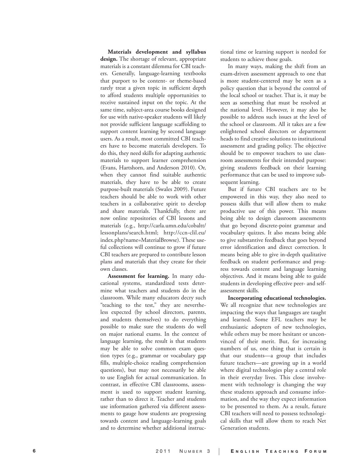**Materials development and syllabus design.** The shortage of relevant, appropriate materials is a constant dilemma for CBI teachers. Generally, language-learning textbooks that purport to be content- or theme-based rarely treat a given topic in sufficient depth to afford students multiple opportunities to receive sustained input on the topic. At the same time, subject-area course books designed for use with native-speaker students will likely not provide sufficient language scaffolding to support content learning by second language users. As a result, most committed CBI teachers have to become materials developers. To do this, they need skills for adapting authentic materials to support learner comprehension (Evans, Hartshorn, and Anderson 2010). Or, when they cannot find suitable authentic materials, they have to be able to create purpose-built materials (Swales 2009). Future teachers should be able to work with other teachers in a collaborative spirit to develop and share materials. Thankfully, there are now online repositories of CBI lessons and materials (e.g., http://carla.umn.edu/cobaltt/ lessonplans/search.html; http://ccn-clil.eu/ index.php?name=MaterialBrowse). These useful collections will continue to grow if future CBI teachers are prepared to contribute lesson plans and materials that they create for their own classes.

**Assessment for learning.** In many educational systems, standardized tests determine what teachers and students do in the classroom. While many educators decry such "teaching to the test," they are nevertheless expected (by school directors, parents, and students themselves) to do everything possible to make sure the students do well on major national exams. In the context of language learning, the result is that students may be able to solve common exam question types (e.g., grammar or vocabulary gap fills, multiple-choice reading comprehension questions), but may not necessarily be able to use English for actual communication. In contrast, in effective CBI classrooms, assessment is used to support student learning, rather than to direct it. Teacher and students use information gathered via different assessments to gauge how students are progressing towards content and language-learning goals and to determine whether additional instruc-

tional time or learning support is needed for students to achieve those goals.

In many ways, making the shift from an exam-driven assessment approach to one that is more student-centered may be seen as a policy question that is beyond the control of the local school or teacher. That is, it may be seen as something that must be resolved at the national level. However, it may also be possible to address such issues at the level of the school or classroom. All it takes are a few enlightened school directors or department heads to find creative solutions to institutional assessment and grading policy. The objective should be to empower teachers to use classroom assessments for their intended purpose: giving students feedback on their learning performance that can be used to improve subsequent learning.

But if future CBI teachers are to be empowered in this way, they also need to possess skills that will allow them to make productive use of this power. This means being able to design classroom assessments that go beyond discrete-point grammar and vocabulary quizzes. It also means being able to give substantive feedback that goes beyond error identification and direct correction. It means being able to give in-depth qualitative feedback on student performance and progress towards content and language learning objectives. And it means being able to guide students in developing effective peer- and selfassessment skills.

**Incorporating educational technologies.**  We all recognize that new technologies are impacting the ways that languages are taught and learned. Some EFL teachers may be enthusiastic adopters of new technologies, while others may be more hesitant or unconvinced of their merit. But, for increasing numbers of us, one thing that is certain is that our students—a group that includes future teachers—are growing up in a world where digital technologies play a central role in their everyday lives. This close involvement with technology is changing the way these students approach and consume information, and the way they expect information to be presented to them. As a result, future CBI teachers will need to possess technological skills that will allow them to reach Net Generation students.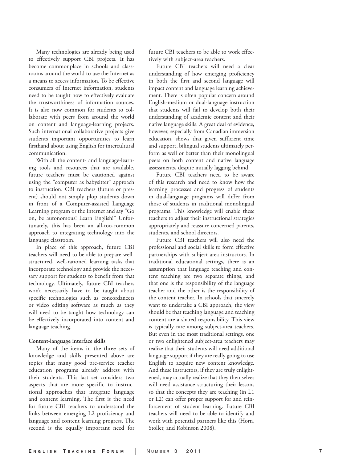Many technologies are already being used to effectively support CBI projects. It has become commonplace in schools and classrooms around the world to use the Internet as a means to access information. To be effective consumers of Internet information, students need to be taught how to effectively evaluate the trustworthiness of information sources. It is also now common for students to collaborate with peers from around the world on content and language-learning projects. Such international collaborative projects give students important opportunities to learn firsthand about using English for intercultural communication.

With all the content- and language-learning tools and resources that are available, future teachers must be cautioned against using the "computer as babysitter" approach to instruction. CBI teachers (future or present) should not simply plop students down in front of a Computer-assisted Language Learning program or the Internet and say "Go on, be autonomous! Learn English!" Unfortunately, this has been an all-too-common approach to integrating technology into the language classroom.

In place of this approach, future CBI teachers will need to be able to prepare wellstructured, well-rationed learning tasks that incorporate technology and provide the necessary support for students to benefit from that technology. Ultimately, future CBI teachers won't necessarily have to be taught about specific technologies such as concordancers or video editing software as much as they will need to be taught how technology can be effectively incorporated into content and language teaching.

#### **Content-language interface skills**

Many of the items in the three sets of knowledge and skills presented above are topics that many good pre-service teacher education programs already address with their students. This last set considers two aspects that are more specific to instructional approaches that integrate language and content learning. The first is the need for future CBI teachers to understand the links between emerging L2 proficiency and language and content learning progress. The second is the equally important need for

future CBI teachers to be able to work effectively with subject-area teachers.

Future CBI teachers will need a clear understanding of how emerging proficiency in both the first and second language will impact content and language learning achievement. There is often popular concern around English-medium or dual-language instruction that students will fail to develop both their understanding of academic content and their native language skills. A great deal of evidence, however, especially from Canadian immersion education, shows that given sufficient time and support, bilingual students ultimately perform as well or better than their monolingual peers on both content and native language assessments, despite initially lagging behind.

Future CBI teachers need to be aware of this research and need to know how the learning processes and progress of students in dual-language programs will differ from those of students in traditional monolingual programs. This knowledge will enable these teachers to adjust their instructional strategies appropriately and reassure concerned parents, students, and school directors.

Future CBI teachers will also need the professional and social skills to form effective partnerships with subject-area instructors. In traditional educational settings, there is an assumption that language teaching and content teaching are two separate things, and that one is the responsibility of the language teacher and the other is the responsibility of the content teacher. In schools that sincerely want to undertake a CBI approach, the view should be that teaching language and teaching content are a shared responsibility. This view is typically rare among subject-area teachers. But even in the most traditional settings, one or two enlightened subject-area teachers may realize that their students will need additional language support if they are really going to use English to acquire new content knowledge. And these instructors, if they are truly enlightened, may actually realize that they themselves will need assistance structuring their lessons so that the concepts they are teaching (in L1 or L2) can offer proper support for and reinforcement of student learning. Future CBI teachers will need to be able to identify and work with potential partners like this (Horn, Stoller, and Robinson 2008).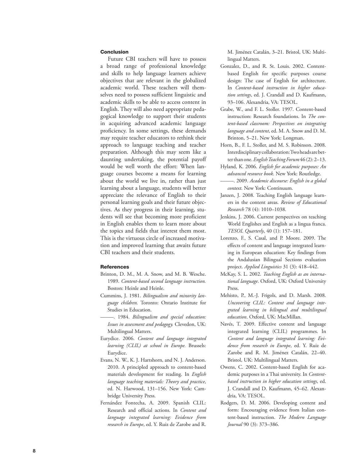#### **Conclusion**

Future CBI teachers will have to possess a broad range of professional knowledge and skills to help language learners achieve objectives that are relevant in the globalized academic world. These teachers will themselves need to possess sufficient linguistic and academic skills to be able to access content in English. They will also need appropriate pedagogical knowledge to support their students in acquiring advanced academic language proficiency. In some settings, these demands may require teacher educators to rethink their approach to language teaching and teacher preparation. Although this may seem like a daunting undertaking, the potential payoff would be well worth the effort: When language courses become a means for learning about the world we live in, rather than just learning about a language, students will better appreciate the relevance of English to their personal learning goals and their future objectives. As they progress in their learning, students will see that becoming more proficient in English enables them to learn more about the topics and fields that interest them most. This is the virtuous circle of increased motivation and improved learning that awaits future CBI teachers and their students.

#### **References**

- Brinton, D. M., M. A. Snow, and M. B. Wesche. 1989. *Content-based second language instruction.* Boston: Heinle and Heinle.
- Cummins, J. 1981. *Bilingualism and minority language children.* Toronto: Ontario Institute for Studies in Education.
- –––––. 1984. *Bilingualism and special education: Issues in assessment and pedagogy.* Clevedon, UK: Multilingual Matters.
- Eurydice. 2006. *Content and language integrated learning (CLIL) at school in Europe.* Brussels: Eurydice.
- Evans, N. W., K. J. Hartshorn, and N. J. Anderson. 2010. A principled approach to content-based materials development for reading. In *English language teaching materials: Theory and practice*, ed. N. Harwood, 131–156. New York: Cambridge University Press.
- Fernández Fontecha, A. 2009. Spanish CLIL: Research and official actions. In *Content and language integrated learning: Evidence from research in Europe*, ed. Y. Ruiz de Zarobe and R.

M. Jiménez Catalán, 3–21. Bristol, UK: Multilingual Matters.

- Gonzalez, D., and R. St. Louis. 2002. Contentbased English for specific purposes course design: The case of English for architecture. In *Content-based instruction in higher education settings*, ed. J. Crandall and D. Kaufmann, 93–106. Alexandria, VA: TESOL.
- Grabe, W., and F. L. Stoller. 1997. Content-based instruction: Research foundations. In *The content-based classroom: Perspectives on integrating language and content*, ed. M. A. Snow and D. M. Brinton, 5–21. New York: Longman.
- Horn, B., F. L. Stoller, and M. S. Robinson. 2008. Interdisciplinary collaboration: Two heads are better than one. *English Teaching Forum* 46 (2): 2–13.
- Hyland, K. 2006. *English for academic purposes: An advanced resource book*. New York: Routledge.
- –––––. 2009. *Academic discourse: English in a global context*. New York: Continuum.
- Janzen, J. 2008. Teaching English language learners in the content areas. *Review of Educational Research* 78 (4): 1010–1038.
- Jenkins, J. 2006. Current perspectives on teaching World Englishes and English as a lingua franca. *TESOL Quarterly*, 40 (1): 157–181.
- Lorenzo, F., S. Casal, and P. Moore. 2009. The effects of content and language integrated learning in European education: Key findings from the Andalusian Bilingual Sections evaluation project. *Applied Linguistics* 31 (3): 418–442.
- McKay, S. L. 2002. *Teaching English as an international language*. Oxford, UK: Oxford University Press.
- Mehisto, P., M.-J. Frigols, and D. Marsh. 2008. *Uncovering CLIL: Content and language integrated learning in bilingual and multilingual education*. Oxford, UK: MacMillan.
- Navés, T. 2009. Effective content and language integrated learning (CLIL) programmes. In *Content and language integrated learning: Evidence from research in Europe*, ed. Y. Ruiz de Zarobe and R. M. Jiménez Catalán, 22–40. Bristol, UK: Multilingual Matters.
- Owens, C. 2002. Content-based English for academic purposes in a Thai university. In *Contentbased instruction in higher education settings*, ed. J. Crandall and D. Kaufmann, 45–62. Alexandria, VA: TESOL.
- Rodgers, D. M. 2006. Developing content and form: Encouraging evidence from Italian content-based instruction. *The Modern Language Journal* 90 (3): 373–386.